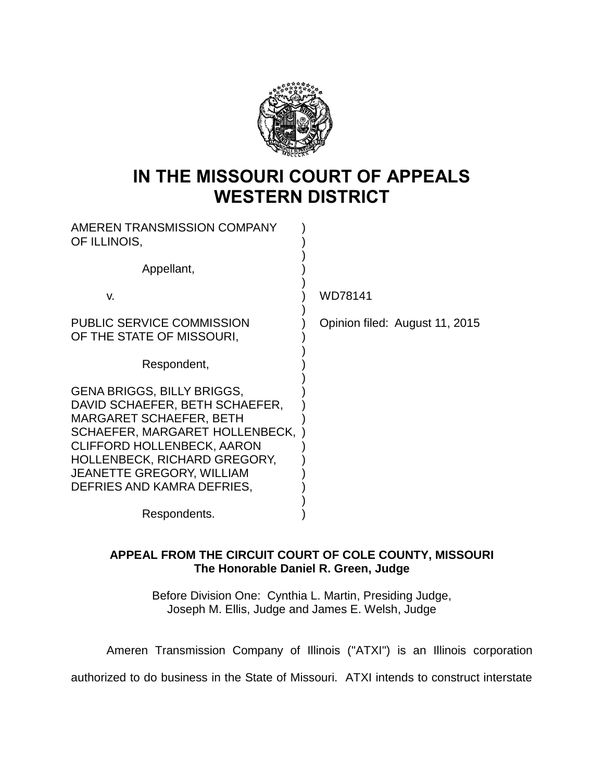

## **IN THE MISSOURI COURT OF APPEALS WESTERN DISTRICT**

| AMEREN TRANSMISSION COMPANY<br>OF ILLINOIS,                                                                                                                                                                                                                                           |                                |
|---------------------------------------------------------------------------------------------------------------------------------------------------------------------------------------------------------------------------------------------------------------------------------------|--------------------------------|
| Appellant,                                                                                                                                                                                                                                                                            |                                |
| V.                                                                                                                                                                                                                                                                                    | WD78141                        |
| <b>PUBLIC SERVICE COMMISSION</b><br>OF THE STATE OF MISSOURI,                                                                                                                                                                                                                         | Opinion filed: August 11, 2015 |
| Respondent,                                                                                                                                                                                                                                                                           |                                |
| <b>GENA BRIGGS, BILLY BRIGGS,</b><br>DAVID SCHAEFER, BETH SCHAEFER,<br><b>MARGARET SCHAEFER, BETH</b><br>SCHAEFER, MARGARET HOLLENBECK,<br><b>CLIFFORD HOLLENBECK, AARON</b><br><b>HOLLENBECK, RICHARD GREGORY,</b><br><b>JEANETTE GREGORY, WILLIAM</b><br>DEFRIES AND KAMRA DEFRIES, |                                |
| Respondents.                                                                                                                                                                                                                                                                          |                                |

## **APPEAL FROM THE CIRCUIT COURT OF COLE COUNTY, MISSOURI The Honorable Daniel R. Green, Judge**

Before Division One: Cynthia L. Martin, Presiding Judge, Joseph M. Ellis, Judge and James E. Welsh, Judge

Ameren Transmission Company of Illinois ("ATXI") is an Illinois corporation authorized to do business in the State of Missouri. ATXI intends to construct interstate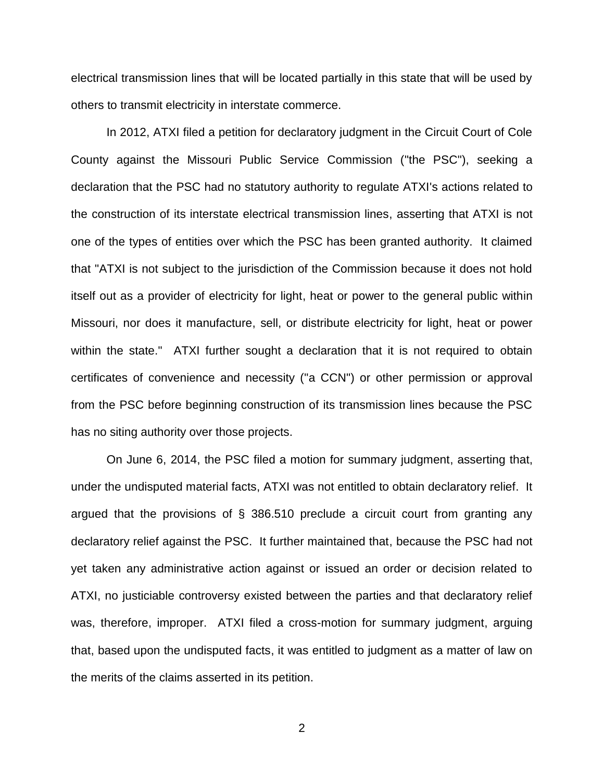electrical transmission lines that will be located partially in this state that will be used by others to transmit electricity in interstate commerce.

In 2012, ATXI filed a petition for declaratory judgment in the Circuit Court of Cole County against the Missouri Public Service Commission ("the PSC"), seeking a declaration that the PSC had no statutory authority to regulate ATXI's actions related to the construction of its interstate electrical transmission lines, asserting that ATXI is not one of the types of entities over which the PSC has been granted authority. It claimed that "ATXI is not subject to the jurisdiction of the Commission because it does not hold itself out as a provider of electricity for light, heat or power to the general public within Missouri, nor does it manufacture, sell, or distribute electricity for light, heat or power within the state." ATXI further sought a declaration that it is not required to obtain certificates of convenience and necessity ("a CCN") or other permission or approval from the PSC before beginning construction of its transmission lines because the PSC has no siting authority over those projects.

On June 6, 2014, the PSC filed a motion for summary judgment, asserting that, under the undisputed material facts, ATXI was not entitled to obtain declaratory relief. It argued that the provisions of § 386.510 preclude a circuit court from granting any declaratory relief against the PSC. It further maintained that, because the PSC had not yet taken any administrative action against or issued an order or decision related to ATXI, no justiciable controversy existed between the parties and that declaratory relief was, therefore, improper. ATXI filed a cross-motion for summary judgment, arguing that, based upon the undisputed facts, it was entitled to judgment as a matter of law on the merits of the claims asserted in its petition.

2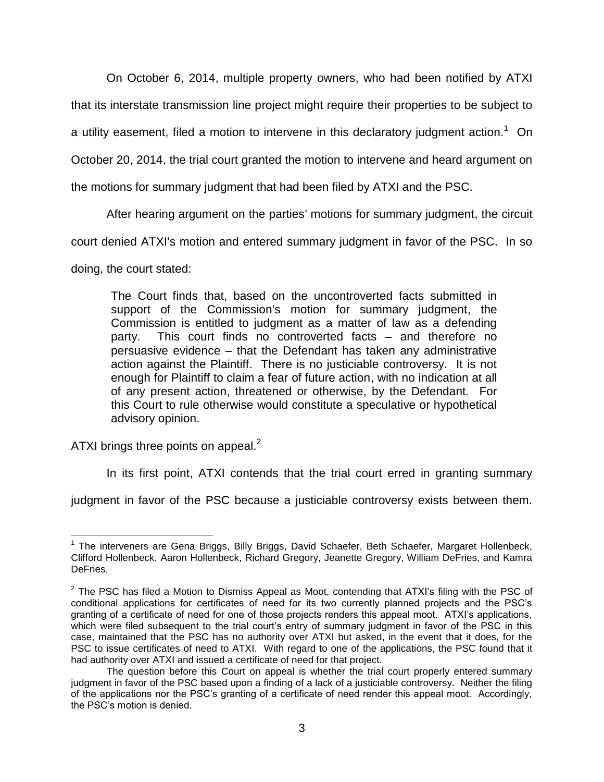On October 6, 2014, multiple property owners, who had been notified by ATXI

that its interstate transmission line project might require their properties to be subject to

a utility easement, filed a motion to intervene in this declaratory judgment action.<sup>1</sup> On

October 20, 2014, the trial court granted the motion to intervene and heard argument on

the motions for summary judgment that had been filed by ATXI and the PSC.

After hearing argument on the parties' motions for summary judgment, the circuit

court denied ATXI's motion and entered summary judgment in favor of the PSC. In so

doing, the court stated:

The Court finds that, based on the uncontroverted facts submitted in support of the Commission's motion for summary judgment, the Commission is entitled to judgment as a matter of law as a defending party. This court finds no controverted facts – and therefore no persuasive evidence – that the Defendant has taken any administrative action against the Plaintiff. There is no justiciable controversy. It is not enough for Plaintiff to claim a fear of future action, with no indication at all of any present action, threatened or otherwise, by the Defendant. For this Court to rule otherwise would constitute a speculative or hypothetical advisory opinion.

ATXI brings three points on appeal. $<sup>2</sup>$ </sup>

In its first point, ATXI contends that the trial court erred in granting summary

judgment in favor of the PSC because a justiciable controversy exists between them.

 $\overline{a}$ <sup>1</sup> The interveners are Gena Briggs, Billy Briggs, David Schaefer, Beth Schaefer, Margaret Hollenbeck, Clifford Hollenbeck, Aaron Hollenbeck, Richard Gregory, Jeanette Gregory, William DeFries, and Kamra DeFries.

 $2$  The PSC has filed a Motion to Dismiss Appeal as Moot, contending that ATXI's filing with the PSC of conditional applications for certificates of need for its two currently planned projects and the PSC's granting of a certificate of need for one of those projects renders this appeal moot. ATXI's applications, which were filed subsequent to the trial court's entry of summary judgment in favor of the PSC in this case, maintained that the PSC has no authority over ATXI but asked, in the event that it does, for the PSC to issue certificates of need to ATXI. With regard to one of the applications, the PSC found that it had authority over ATXI and issued a certificate of need for that project.

The question before this Court on appeal is whether the trial court properly entered summary judgment in favor of the PSC based upon a finding of a lack of a justiciable controversy. Neither the filing of the applications nor the PSC's granting of a certificate of need render this appeal moot. Accordingly, the PSC's motion is denied.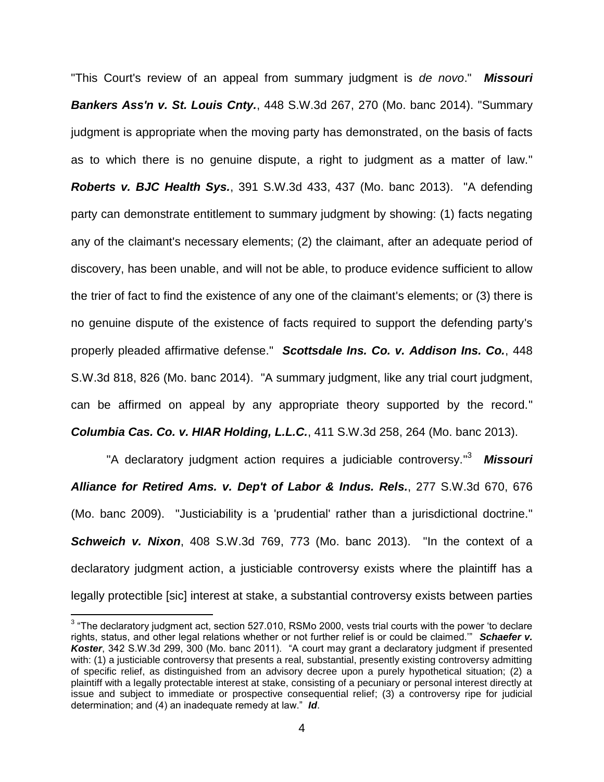"This Court's review of an appeal from summary judgment is *de novo*." *Missouri Bankers Ass'n v. St. Louis Cnty.*, 448 S.W.3d 267, 270 (Mo. banc 2014). "Summary judgment is appropriate when the moving party has demonstrated, on the basis of facts as to which there is no genuine dispute, a right to judgment as a matter of law." *Roberts v. BJC Health Sys.*, 391 S.W.3d 433, 437 (Mo. banc 2013). "A defending party can demonstrate entitlement to summary judgment by showing: (1) facts negating any of the claimant's necessary elements; (2) the claimant, after an adequate period of discovery, has been unable, and will not be able, to produce evidence sufficient to allow the trier of fact to find the existence of any one of the claimant's elements; or (3) there is no genuine dispute of the existence of facts required to support the defending party's properly pleaded affirmative defense." *Scottsdale Ins. Co. v. Addison Ins. Co.*, 448 S.W.3d 818, 826 (Mo. banc 2014). "A summary judgment, like any trial court judgment, can be affirmed on appeal by any appropriate theory supported by the record." *Columbia Cas. Co. v. HIAR Holding, L.L.C.*, 411 S.W.3d 258, 264 (Mo. banc 2013).

"A declaratory judgment action requires a judiciable controversy." 3 *Missouri Alliance for Retired Ams. v. Dep't of Labor & Indus. Rels.*, 277 S.W.3d 670, 676 (Mo. banc 2009). "Justiciability is a 'prudential' rather than a jurisdictional doctrine." *Schweich v. Nixon*, 408 S.W.3d 769, 773 (Mo. banc 2013). "In the context of a declaratory judgment action, a justiciable controversy exists where the plaintiff has a legally protectible [sic] interest at stake, a substantial controversy exists between parties

 3 "The declaratory judgment act, section 527.010, RSMo 2000, vests trial courts with the power 'to declare rights, status, and other legal relations whether or not further relief is or could be claimed.'" *Schaefer v. Koster*, 342 S.W.3d 299, 300 (Mo. banc 2011). "A court may grant a declaratory judgment if presented with: (1) a justiciable controversy that presents a real, substantial, presently existing controversy admitting of specific relief, as distinguished from an advisory decree upon a purely hypothetical situation; (2) a plaintiff with a legally protectable interest at stake, consisting of a pecuniary or personal interest directly at issue and subject to immediate or prospective consequential relief; (3) a controversy ripe for judicial determination; and (4) an inadequate remedy at law." *Id*.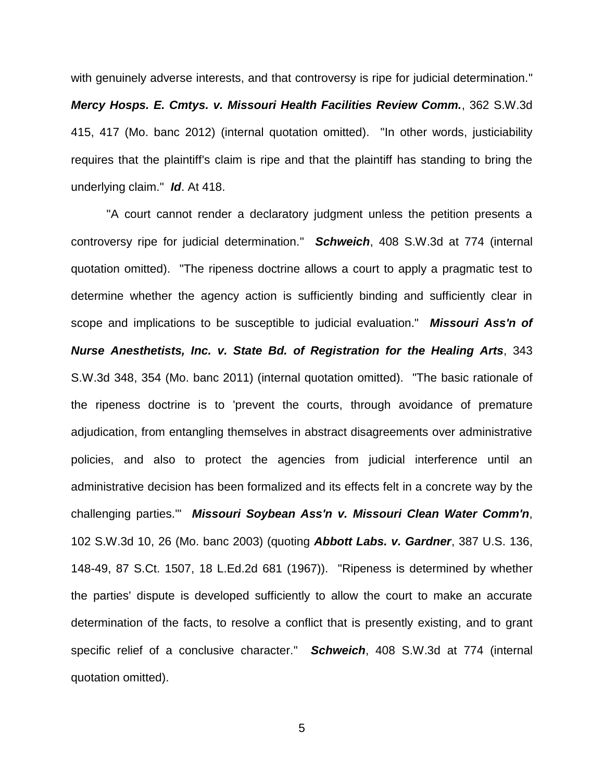with genuinely adverse interests, and that controversy is ripe for judicial determination." *Mercy Hosps. E. Cmtys. v. Missouri Health Facilities Review Comm.*, 362 S.W.3d 415, 417 (Mo. banc 2012) (internal quotation omitted). "In other words, justiciability requires that the plaintiff's claim is ripe and that the plaintiff has standing to bring the underlying claim." *Id*. At 418.

"A court cannot render a declaratory judgment unless the petition presents a controversy ripe for judicial determination." *Schweich*, 408 S.W.3d at 774 (internal quotation omitted). "The ripeness doctrine allows a court to apply a pragmatic test to determine whether the agency action is sufficiently binding and sufficiently clear in scope and implications to be susceptible to judicial evaluation." *Missouri Ass'n of Nurse Anesthetists, Inc. v. State Bd. of Registration for the Healing Arts*, 343 S.W.3d 348, 354 (Mo. banc 2011) (internal quotation omitted). "The basic rationale of the ripeness doctrine is to 'prevent the courts, through avoidance of premature adjudication, from entangling themselves in abstract disagreements over administrative policies, and also to protect the agencies from judicial interference until an administrative decision has been formalized and its effects felt in a concrete way by the challenging parties.'" *Missouri Soybean Ass'n v. Missouri Clean Water Comm'n*, 102 S.W.3d 10, 26 (Mo. banc 2003) (quoting *Abbott Labs. v. Gardner*, 387 U.S. 136, 148-49, 87 S.Ct. 1507, 18 L.Ed.2d 681 (1967)). "Ripeness is determined by whether the parties' dispute is developed sufficiently to allow the court to make an accurate determination of the facts, to resolve a conflict that is presently existing, and to grant specific relief of a conclusive character." *Schweich*, 408 S.W.3d at 774 (internal quotation omitted).

5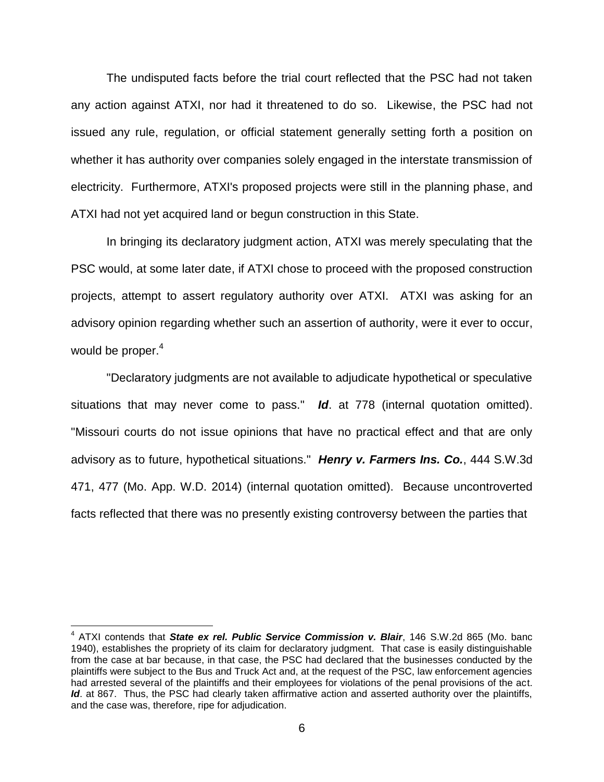The undisputed facts before the trial court reflected that the PSC had not taken any action against ATXI, nor had it threatened to do so. Likewise, the PSC had not issued any rule, regulation, or official statement generally setting forth a position on whether it has authority over companies solely engaged in the interstate transmission of electricity. Furthermore, ATXI's proposed projects were still in the planning phase, and ATXI had not yet acquired land or begun construction in this State.

In bringing its declaratory judgment action, ATXI was merely speculating that the PSC would, at some later date, if ATXI chose to proceed with the proposed construction projects, attempt to assert regulatory authority over ATXI. ATXI was asking for an advisory opinion regarding whether such an assertion of authority, were it ever to occur, would be proper. $4$ 

"Declaratory judgments are not available to adjudicate hypothetical or speculative situations that may never come to pass." *Id*. at 778 (internal quotation omitted). "Missouri courts do not issue opinions that have no practical effect and that are only advisory as to future, hypothetical situations." *Henry v. Farmers Ins. Co.*, 444 S.W.3d 471, 477 (Mo. App. W.D. 2014) (internal quotation omitted). Because uncontroverted facts reflected that there was no presently existing controversy between the parties that

 $\overline{a}$ 

<sup>&</sup>lt;sup>4</sup> ATXI contends that **State ex rel. Public Service Commission v. Blair**, 146 S.W.2d 865 (Mo. banc 1940), establishes the propriety of its claim for declaratory judgment. That case is easily distinguishable from the case at bar because, in that case, the PSC had declared that the businesses conducted by the plaintiffs were subject to the Bus and Truck Act and, at the request of the PSC, law enforcement agencies had arrested several of the plaintiffs and their employees for violations of the penal provisions of the act. Id. at 867. Thus, the PSC had clearly taken affirmative action and asserted authority over the plaintiffs, and the case was, therefore, ripe for adjudication.